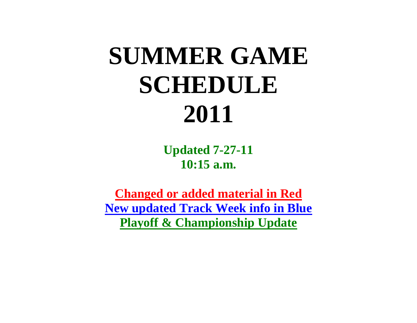## **SUMMER GAME SCHEDULE 2011**

**Updated 7-27-11 10:15 a.m.**

**Changed or added material in Red New updated Track Week info in Blue Playoff & Championship Update**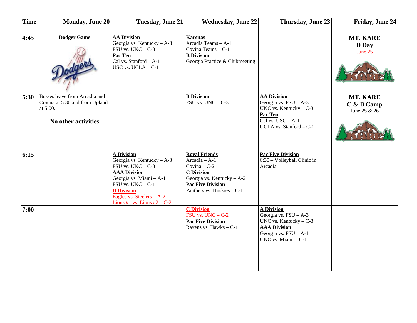| <b>Time</b> | <b>Monday, June 20</b>                                                                             | <b>Tuesday, June 21</b>                                                                                                                                                                                                                    | <b>Wednesday, June 22</b>                                                                                                                                           | Thursday, June 23                                                                                                                              | Friday, June 24                          |
|-------------|----------------------------------------------------------------------------------------------------|--------------------------------------------------------------------------------------------------------------------------------------------------------------------------------------------------------------------------------------------|---------------------------------------------------------------------------------------------------------------------------------------------------------------------|------------------------------------------------------------------------------------------------------------------------------------------------|------------------------------------------|
| 4:45        | <b>Dodger Game</b>                                                                                 | <b>AA Division</b><br>Georgia vs. Kentucky - A-3<br>FSU vs. $UNC - C-3$<br>Pac Ten<br>Cal vs. Stanford - A-1<br>USC vs. $UCLA - C-1$                                                                                                       | <b>Karenas</b><br>$\overline{\text{Arcadia} \text{~Teams} - \text{A-1}}$<br>Covina Teams - C-1<br><b>B</b> Division<br>Georgia Practice & Clubmeeting               |                                                                                                                                                | MT. KARE<br>D Day<br>June 25             |
| 5:30        | Busses leave from Arcadia and<br>Covina at 5:30 and from Upland<br>at 5:00.<br>No other activities |                                                                                                                                                                                                                                            | <b>B</b> Division<br>FSU vs. $UNC - C-3$                                                                                                                            | <b>AA Division</b><br>Georgia vs. $FSU - A-3$<br>UNC vs. Kentucky $-C-3$<br>Pac Ten<br>Cal vs. $USC - A-1$<br>UCLA vs. Stanford - C-1          | MT. KARE<br>$C$ & B Camp<br>June 25 & 26 |
| 6:15        |                                                                                                    | <b>A Division</b><br>Georgia vs. Kentucky $- A - 3$<br>$FSU$ vs. $UNC - C-3$<br><b>AAA Division</b><br>Georgia vs. Miami - A-1<br>$FSU$ vs. $UNC - C-1$<br><b>D</b> Division<br>Eagles vs. Steelers - A-2<br>Lions #1 vs. Lions $#2 - C-2$ | <b>Royal Friends</b><br>Arcadia - A-1<br>Covina $-C-2$<br><b>C</b> Division<br>Georgia vs. Kentucky - A-2<br><b>Pac Five Division</b><br>Panthers vs. Huskies - C-1 | <b>Pac Five Division</b><br>6:30 - Volleyball Clinic in<br>Arcadia                                                                             |                                          |
| 7:00        |                                                                                                    |                                                                                                                                                                                                                                            | <b>C</b> Division<br>$FSU$ vs. $UNC - C-2$<br><b>Pac Five Division</b><br>Ravens vs. Hawks - C-1                                                                    | <b>A Division</b><br>Georgia vs. $FSU - A-3$<br>UNC vs. Kentucky $-C-3$<br><b>AAA Division</b><br>Georgia vs. FSU - A-1<br>UNC vs. Miami - C-1 |                                          |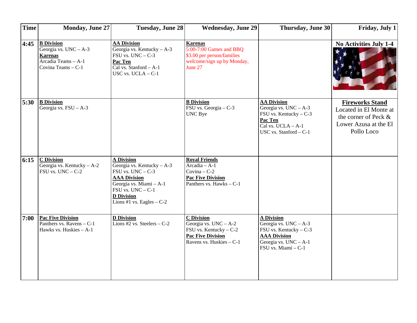| <b>Time</b> | <b>Monday, June 27</b>                                                                                      | <b>Tuesday, June 28</b>                                                                                                                                                                            | <b>Wednesday, June 29</b>                                                                                                      | Thursday, June 30                                                                                                                                | Friday, July 1                                                                                                  |
|-------------|-------------------------------------------------------------------------------------------------------------|----------------------------------------------------------------------------------------------------------------------------------------------------------------------------------------------------|--------------------------------------------------------------------------------------------------------------------------------|--------------------------------------------------------------------------------------------------------------------------------------------------|-----------------------------------------------------------------------------------------------------------------|
| 4:45        | <b>B</b> Division<br>Georgia vs. $UNC - A-3$<br><b>Karenas</b><br>Arcadia Teams - A-1<br>Covina Teams - C-1 | <b>AA Division</b><br>Georgia vs. Kentucky $- A - 3$<br>$FSU$ vs. $UNC - C-3$<br>Pac Ten<br>Cal vs. Stanford $- A-1$<br>USC vs. $UCLA - C-1$                                                       | <b>Karenas</b><br>$5:00-7:00$ Games and BBQ<br>\$3.00 per person/families<br>welcome/sign up by Monday,<br>June 27             |                                                                                                                                                  | <b>No Activities July 1-4</b>                                                                                   |
| 5:30        | <b>B</b> Division<br>Georgia vs. $FSU - A-3$                                                                |                                                                                                                                                                                                    | <b>B</b> Division<br>$\overline{\text{FSU} \text{ vs. Georgia}} - C-3$<br>UNC Bye                                              | <b>AA Division</b><br>Georgia vs. $UNC - A-3$<br>FSU vs. Kentucky - C-3<br>Pac Ten<br>$\overline{Cal vs. UCLA - A-1}$<br>USC vs. Stanford - C-1  | <b>Fireworks Stand</b><br>Located in El Monte at<br>the corner of Peck &<br>Lower Azusa at the El<br>Pollo Loco |
| 6:15        | <b>C</b> Division<br>Georgia vs. Kentucky - A-2<br>$FSU$ vs. $UNC - C-2$                                    | <b>A Division</b><br>Georgia vs. Kentucky - A-3<br>$FSU$ vs. $UNC - C-3$<br><b>AAA Division</b><br>Georgia vs. Miami - A-1<br>FSU vs. UNC - C-1<br><b>D</b> Division<br>Lions #1 vs. Eagles $-C-2$ | <b>Royal Friends</b><br>Arcadia - A-1<br>Covina $-C-2$<br><b>Pac Five Division</b><br>Panthers vs. Hawks $-C-1$                |                                                                                                                                                  |                                                                                                                 |
| 7:00        | <b>Pac Five Division</b><br>Panthers vs. Ravens - C-1<br>Hawks vs. Huskies - A-1                            | <b>D</b> Division<br>Lions #2 vs. Steelers $-C-2$                                                                                                                                                  | <b>C</b> Division<br>Georgia vs. $UNC - A-2$<br>FSU vs. Kentucky - C-2<br><b>Pac Five Division</b><br>Ravens vs. Huskies - C-1 | <b>A Division</b><br>Georgia vs. $UNC - A-3$<br>FSU vs. Kentucky $-C-3$<br><b>AAA Division</b><br>Georgia vs. $UNC - A-1$<br>FSU vs. Miami - C-1 |                                                                                                                 |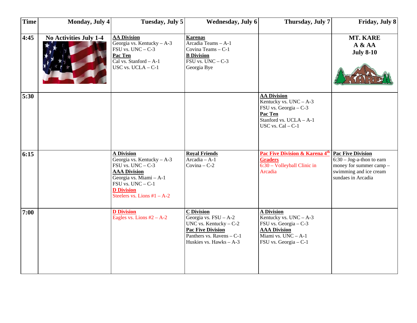| <b>Time</b> | <b>Monday</b> , July 4 | Tuesday, July 5                                                                                                                                                                                    | Wednesday, July 6                                                                                                                                               | Thursday, July 7                                                                                                                                | Friday, July 8                                                                                                                            |
|-------------|------------------------|----------------------------------------------------------------------------------------------------------------------------------------------------------------------------------------------------|-----------------------------------------------------------------------------------------------------------------------------------------------------------------|-------------------------------------------------------------------------------------------------------------------------------------------------|-------------------------------------------------------------------------------------------------------------------------------------------|
| 4:45        | No Activities July 1-4 | <b>AA Division</b><br>Georgia vs. Kentucky $- A - 3$<br>$FSU$ vs. $UNC - C-3$<br>Pac Ten<br>Cal vs. Stanford - A-1<br>USC vs. $UCLA - C-1$                                                         | <b>Karenas</b><br>Arcadia Teams - A-1<br>Covina Teams - C-1<br><b>B</b> Division<br>$FSU$ vs. $UNC - C-3$<br>Georgia Bye                                        |                                                                                                                                                 | MT. KARE<br>A & A<br><b>July 8-10</b>                                                                                                     |
| 5:30        |                        |                                                                                                                                                                                                    |                                                                                                                                                                 | <b>AA Division</b><br>Kentucky vs. $UNC - A-3$<br>FSU vs. Georgia - C-3<br>Pac Ten<br>Stanford vs. UCLA - A-1<br>USC vs. $Cal - C-1$            |                                                                                                                                           |
| 6:15        |                        | A Division<br>Georgia vs. Kentucky - A-3<br>$FSU$ vs. $UNC - C-3$<br><b>AAA Division</b><br>Georgia vs. Miami - A-1<br>$FSU$ vs. $UNC - C-1$<br><b>D</b> Division<br>Steelers vs. Lions $#1 - A-2$ | <b>Royal Friends</b><br>$Arcadia - A-1$<br>Covina $-C-2$                                                                                                        | Pac Five Division & Karena 4 <sup>th</sup><br><b>Graders</b><br>6:30 - Volleyball Clinic in<br>Arcadia                                          | <b>Pac Five Division</b><br>$6:30 - \text{Jog-a-thon}$ to earn<br>money for summer camp -<br>swimming and ice cream<br>sundaes in Arcadia |
| 7:00        |                        | <b>D</b> Division<br>Eagles vs. Lions $#2 - A-2$                                                                                                                                                   | <b>C</b> Division<br>Georgia vs. $FSU - A-2$<br>UNC vs. Kentucky $- C-2$<br><b>Pac Five Division</b><br>Panthers vs. Ravens $- C$ -1<br>Huskies vs. Hawks - A-3 | <b>A Division</b><br>Kentucky vs. $UNC - A-3$<br>FSU vs. Georgia - C-3<br><b>AAA Division</b><br>Miami vs. $UNC - A-1$<br>FSU vs. Georgia - C-1 |                                                                                                                                           |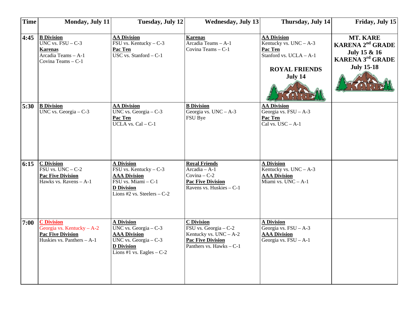| <b>Time</b> | <b>Monday, July 11</b>                                                                                                        | <b>Tuesday, July 12</b>                                                                                                                                                            | <b>Wednesday, July 13</b>                                                                                                        | Thursday, July 14                                                                                                       | Friday, July 15                                                                                                                |
|-------------|-------------------------------------------------------------------------------------------------------------------------------|------------------------------------------------------------------------------------------------------------------------------------------------------------------------------------|----------------------------------------------------------------------------------------------------------------------------------|-------------------------------------------------------------------------------------------------------------------------|--------------------------------------------------------------------------------------------------------------------------------|
| 4:45        | <b>B</b> Division<br>$\overline{UNC \text{ vs. } FSU - C-3}$<br><b>Karenas</b><br>Arcadia Teams - A-1<br>Covina Teams $- C-1$ | <b>AA Division</b><br>$\overline{\text{FSU} \text{ vs. Kentucky}} - C-3$<br>Pac Ten<br>$\overline{USC}$ vs. Stanford – C-1                                                         | <b>Karenas</b><br>Arcadia Teams - A-1<br>Covina Teams - C-1                                                                      | <b>AA Division</b><br>Kentucky vs. $UNC - A-3$<br>Pac Ten<br>Stanford vs. UCLA - A-1<br><b>ROYAL FRIENDS</b><br>July 14 | MT. KARE<br><b>KARENA 2<sup>nd</sup> GRADE</b><br><b>July 15 &amp; 16<br/>KARENA 3<sup>rd</sup> GRADE</b><br><b>July 15-18</b> |
| 5:30        | <b>B</b> Division<br>UNC vs. Georgia $-$ C-3                                                                                  | <b>AA Division</b><br>UNC vs. Georgia $-$ C-3<br>Pac Ten<br>UCLA vs. $Cal - C-1$                                                                                                   | <b>B</b> Division<br>Georgia vs. $UNC - A-3$<br>FSU Bye                                                                          | <b>AA Division</b><br>Georgia vs. $FSU - A-3$<br>Pac Ten<br>Cal vs. $USC - A-1$                                         |                                                                                                                                |
| 6:15        | <b>C</b> Division<br>$FSU$ vs. $UNC - C-2$<br><b>Pac Five Division</b><br>Hawks vs. Ravens $- A - 1$                          | <b>A Division</b><br>FSU vs. Kentucky - C-3<br><b>AAA Division</b><br>$\overline{\text{FSU} \text{ vs. Miami}} - \text{C-1}$<br><b>D</b> Division<br>Lions #2 vs. Steelers $- C-2$ | <b>Royal Friends</b><br>$Arcadia - A-1$<br>Covina $-C-2$<br><b>Pac Five Division</b><br>Ravens vs. Huskies - C-1                 | <b>A Division</b><br>Kentucky vs. $UNC - A-3$<br><b>AAA Division</b><br>Miami vs. $UNC - A-1$                           |                                                                                                                                |
| 7:00        | <b>C</b> Division<br>Georgia vs. Kentucky $- A - 2$<br><b>Pac Five Division</b><br>Huskies vs. Panthers $- A - 1$             | <b>A Division</b><br>UNC vs. $\overline{\text{Georgia}} - C-3$<br><b>AAA Division</b><br>UNC vs. Georgia $-$ C-3<br><b>D</b> Division<br>Lions #1 vs. Eagles $-C-2$                | <b>C</b> Division<br>FSU vs. Georgia - C-2<br>Kentucky vs. $UNC - A-2$<br><b>Pac Five Division</b><br>Panthers vs. $Hawks - C-1$ | <b>A Division</b><br>Georgia vs. $FSU - A-3$<br><b>AAA Division</b><br>Georgia vs. $FSU - A-1$                          |                                                                                                                                |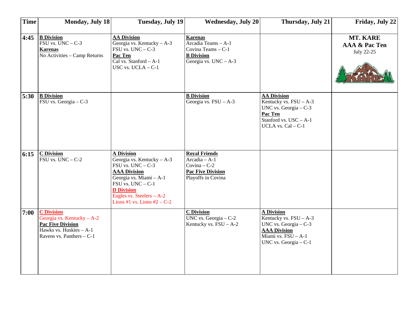| <b>Time</b> | <b>Monday, July 18</b>                                                                                                               | Tuesday, July 19                                                                                                                                                                                                                       | <b>Wednesday, July 20</b>                                                                                   | Thursday, July 21                                                                                                                                | Friday, July 22                         |
|-------------|--------------------------------------------------------------------------------------------------------------------------------------|----------------------------------------------------------------------------------------------------------------------------------------------------------------------------------------------------------------------------------------|-------------------------------------------------------------------------------------------------------------|--------------------------------------------------------------------------------------------------------------------------------------------------|-----------------------------------------|
| 4:45        | <b>B</b> Division<br>$FSU$ vs. $UNC - C-3$<br><b>Karenas</b><br>No Activities - Camp Returns                                         | <b>AA Division</b><br>Georgia vs. Kentucky $- A - 3$<br>$FSU$ vs. $UNC - C-3$<br>Pac Ten<br>Cal vs. Stanford - A-1<br>USC vs. $UCLA - C-1$                                                                                             | <b>Karenas</b><br>Arcadia Teams - A-1<br>Covina Teams - C-1<br><b>B</b> Division<br>Georgia vs. $UNC - A-3$ |                                                                                                                                                  | MT. KARE<br>AAA & Pac Ten<br>July 22-25 |
| 5:30        | <b>B</b> Division<br>FSU vs. Georgia - C-3                                                                                           |                                                                                                                                                                                                                                        | <b>B</b> Division<br>Georgia vs. $FSU - A-3$                                                                | <b>AA Division</b><br>Kentucky vs. $FSU - A-3$<br>UNC vs. Georgia $-C-3$<br>Pac Ten<br>Stanford vs. USC - A-1<br>UCLA vs. $Cal - C-1$            |                                         |
| 6:15        | <b>C</b> Division<br>$FSU$ vs. $UNC - C-2$                                                                                           | <b>A Division</b><br>Georgia vs. Kentucky - A-3<br>$FSU$ vs. $UNC - C-3$<br><b>AAA Division</b><br>Georgia vs. Miami - A-1<br>$FSU$ vs. $UNC - C-1$<br><b>D</b> Division<br>Eagles vs. Steelers - A-2<br>Lions #1 vs. Lions #2 – $C-2$ | <b>Royal Friends</b><br>$Arcadia - A-1$<br>Covina $-C-2$<br><b>Pac Five Division</b><br>Playoffs in Covina  |                                                                                                                                                  |                                         |
| 7:00        | <b>C</b> Division<br>Georgia vs. Kentucky - A-2<br><b>Pac Five Division</b><br>Hawks vs. Huskies - A-1<br>Ravens vs. Panthers $-C-1$ |                                                                                                                                                                                                                                        | <b>C</b> Division<br>UNC vs. Georgia $-$ C-2<br>Kentucky vs. $FSU - A-2$                                    | <b>A Division</b><br>Kentucky vs. $FSU - A-3$<br>UNC vs. Georgia $-C-3$<br><b>AAA Division</b><br>Miami vs. FSU - A-1<br>UNC vs. Georgia $-$ C-1 |                                         |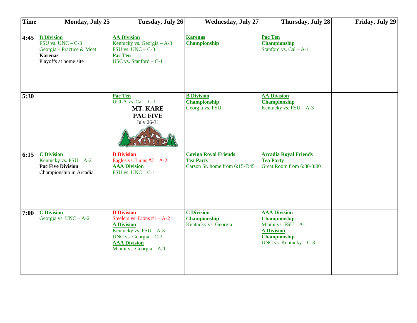| <b>Time</b> | Monday, July 25                                                                                                    | <b>Tuesday, July 26</b>                                                                                                                                                          | <b>Wednesday, July 27</b>                                                         | Thursday, July 28                                                                                                                 | Friday, July 29 |
|-------------|--------------------------------------------------------------------------------------------------------------------|----------------------------------------------------------------------------------------------------------------------------------------------------------------------------------|-----------------------------------------------------------------------------------|-----------------------------------------------------------------------------------------------------------------------------------|-----------------|
| 4:45        | <b>B</b> Division<br>$FSU$ vs. $UNC - C-3$<br>Georgia - Practice & Meet<br><b>Karenas</b><br>Playoffs at home site | <b>AA Division</b><br>Kentucky vs. Georgia - A-3<br>$FSU$ vs. $UNC - C-3$<br><b>Pac Ten</b><br>USC vs. Stanford $- C-1$                                                          | <b>Karenas</b><br>Championship                                                    | Pac Ten<br>Championship<br>Stanford vs. Cal - A-1                                                                                 |                 |
| 5:30        |                                                                                                                    | Pac Ten<br>UCLA vs. Cal - C-1<br>MT. KARE<br><b>PAC FIVE</b><br>July 26-31                                                                                                       | <b>B</b> Division<br>Championship<br>Georgia vs. FSU                              | <b>AA Division</b><br><b>Championship</b><br>Kentucky vs. $FSU - A-3$                                                             |                 |
| 6:15        | <b>C</b> Division<br>Kentucky vs. $FSU - A-2$<br><b>Pac Five Division</b><br>Championship in Arcadia               | <b>D</b> Division<br>Eagles vs. Lions $#2 - A-2$<br><b>AAA Division</b><br>$FSU$ vs. $UNC - C-1$                                                                                 | <b>Covina Royal Friends</b><br><b>Tea Party</b><br>Carson Sr. home from 6:15-7:45 | <b>Arcadia Royal Friends</b><br><b>Tea Party</b><br>Great Room from 6:30-8:00                                                     |                 |
| 7:00        | <b>C</b> Division<br>Georgia vs. $UNC - A-2$                                                                       | <b>D</b> Division<br>Steelers vs. Lions $#1 - A-2$<br><b>A Division</b><br>Kentucky vs. $FSU - A-3$<br>UNC vs. Georgia $-$ C-3<br><b>AAA Division</b><br>Miami vs. Georgia - A-1 | <b>C</b> Division<br><b>Championship</b><br>Kentucky vs. Georgia                  | <b>AAA Division</b><br><b>Championship</b><br>Miami vs. FSU - A-1<br><b>A Division</b><br>Championship<br>UNC vs. Kentucky $-C-3$ |                 |